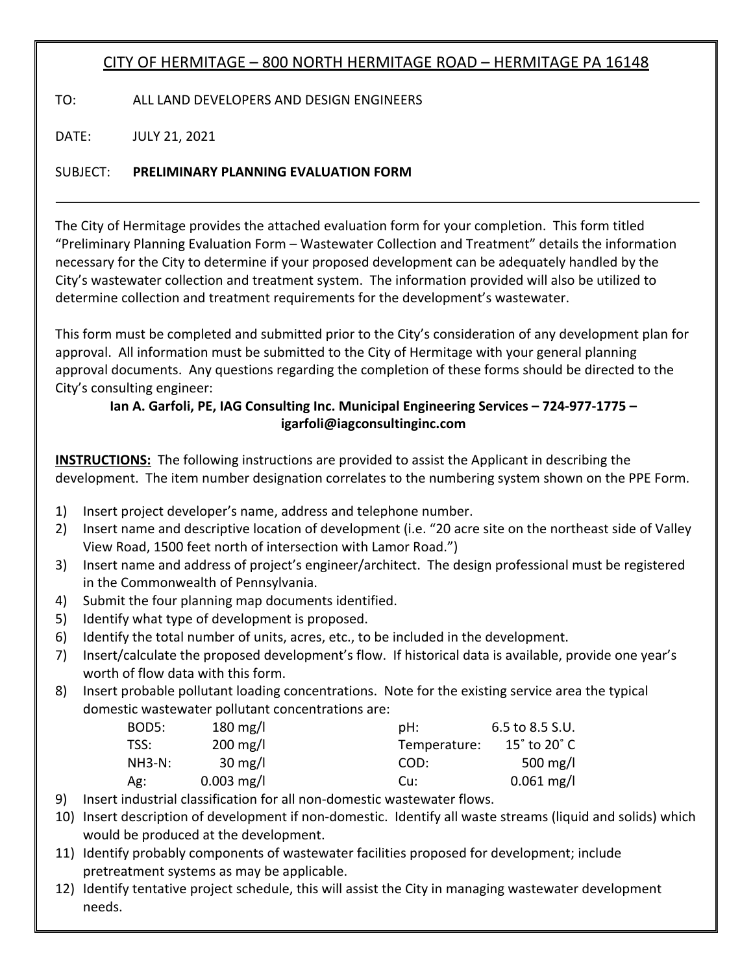# CITY OF HERMITAGE – 800 NORTH HERMITAGE ROAD – HERMITAGE PA 16148

TO: ALL LAND DEVELOPERS AND DESIGN ENGINEERS

DATE: JULY 21, 2021

## SUBJECT: **PRELIMINARY PLANNING EVALUATION FORM**

The City of Hermitage provides the attached evaluation form for your completion. This form titled "Preliminary Planning Evaluation Form – Wastewater Collection and Treatment" details the information necessary for the City to determine if your proposed development can be adequately handled by the City's wastewater collection and treatment system. The information provided will also be utilized to determine collection and treatment requirements for the development's wastewater.

This form must be completed and submitted prior to the City's consideration of any development plan for approval. All information must be submitted to the City of Hermitage with your general planning approval documents. Any questions regarding the completion of these forms should be directed to the City's consulting engineer:

## **Ian A. Garfoli, PE, IAG Consulting Inc. Municipal Engineering Services – 724-977-1775 – igarfoli@iagconsultinginc.com**

**INSTRUCTIONS:** The following instructions are provided to assist the Applicant in describing the development. The item number designation correlates to the numbering system shown on the PPE Form.

- 1) Insert project developer's name, address and telephone number.
- 2) Insert name and descriptive location of development (i.e. "20 acre site on the northeast side of Valley View Road, 1500 feet north of intersection with Lamor Road.")
- 3) Insert name and address of project's engineer/architect. The design professional must be registered in the Commonwealth of Pennsylvania.
- 4) Submit the four planning map documents identified.
- 5) Identify what type of development is proposed.
- 6) Identify the total number of units, acres, etc., to be included in the development.
- 7) Insert/calculate the proposed development's flow. If historical data is available, provide one year's worth of flow data with this form.
- 8) Insert probable pollutant loading concentrations. Note for the existing service area the typical domestic wastewater pollutant concentrations are:

| BOD5:         | $180 \text{ mg/l}$ | pH:          | 6.5 to 8.5 S.U.             |
|---------------|--------------------|--------------|-----------------------------|
| TSS:          | $200 \text{ mg/l}$ | Temperature: | $15^\circ$ to 20 $^\circ$ C |
| <b>NH3-N:</b> | $30 \text{ mg/l}$  | COD:         | 500 mg/l                    |
| Ag:           | $0.003$ mg/l       | Cu:          | $0.061$ mg/l                |

- 9) Insert industrial classification for all non-domestic wastewater flows.
- 10) Insert description of development if non-domestic. Identify all waste streams (liquid and solids) which would be produced at the development.
- 11) Identify probably components of wastewater facilities proposed for development; include pretreatment systems as may be applicable.
- 12) Identify tentative project schedule, this will assist the City in managing wastewater development needs.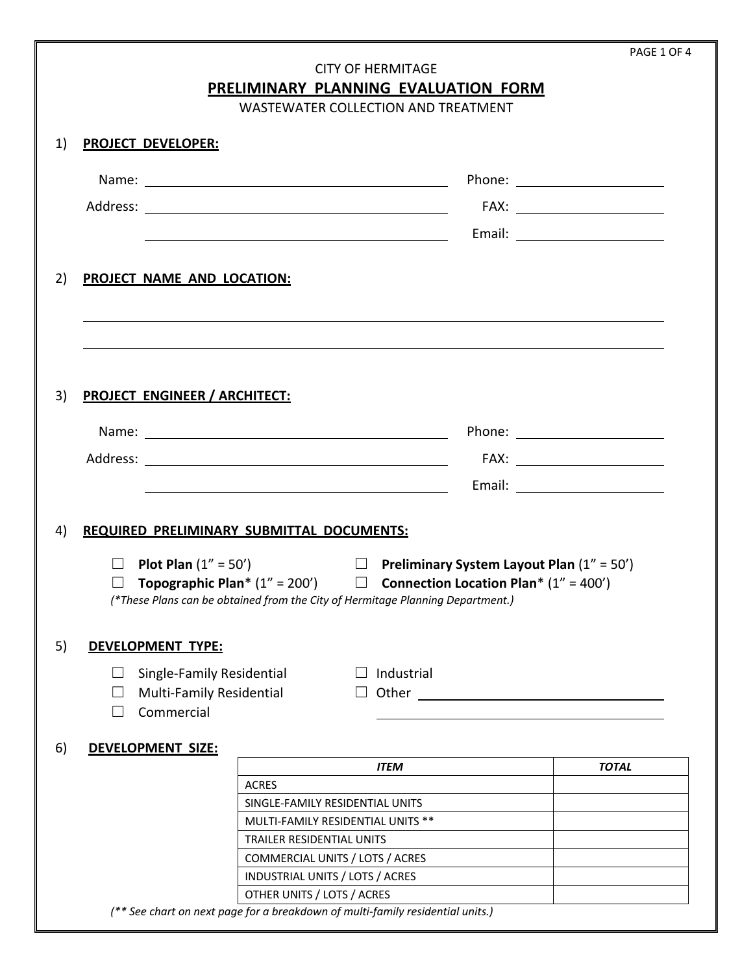|                                                                          |                                                                                                                                                | <b>CITY OF HERMITAGE</b><br>PRELIMINARY PLANNING EVALUATION FORM<br>WASTEWATER COLLECTION AND TREATMENT                                                                                                                                                                                                                                                                                                  |              |
|--------------------------------------------------------------------------|------------------------------------------------------------------------------------------------------------------------------------------------|----------------------------------------------------------------------------------------------------------------------------------------------------------------------------------------------------------------------------------------------------------------------------------------------------------------------------------------------------------------------------------------------------------|--------------|
| <b>PROJECT DEVELOPER:</b>                                                |                                                                                                                                                |                                                                                                                                                                                                                                                                                                                                                                                                          |              |
|                                                                          |                                                                                                                                                |                                                                                                                                                                                                                                                                                                                                                                                                          |              |
|                                                                          |                                                                                                                                                |                                                                                                                                                                                                                                                                                                                                                                                                          |              |
|                                                                          |                                                                                                                                                |                                                                                                                                                                                                                                                                                                                                                                                                          |              |
| PROJECT NAME AND LOCATION:                                               |                                                                                                                                                |                                                                                                                                                                                                                                                                                                                                                                                                          |              |
| <b>PROJECT ENGINEER / ARCHITECT:</b>                                     |                                                                                                                                                |                                                                                                                                                                                                                                                                                                                                                                                                          |              |
|                                                                          |                                                                                                                                                |                                                                                                                                                                                                                                                                                                                                                                                                          |              |
|                                                                          |                                                                                                                                                |                                                                                                                                                                                                                                                                                                                                                                                                          |              |
|                                                                          | <u> 1989 - Johann Barn, mars eta bainar eta industrial eta baina eta baina eta baina eta baina eta baina eta bain</u>                          |                                                                                                                                                                                                                                                                                                                                                                                                          |              |
| <b>Plot Plan</b> $(1'' = 50')$<br>$\perp$<br>DEVELOPMENT TYPE:<br>$\Box$ | (*These Plans can be obtained from the City of Hermitage Planning Department.)<br>Single-Family Residential<br><b>Multi-Family Residential</b> | <b>Example 1</b> Preliminary System Layout Plan $(1'' = 50')$<br>$\Box$ Topographic Plan* (1" = 200') $\Box$ Connection Location Plan* (1" = 400')<br>Industrial<br>Other <u>and the series of the series of the series of the series of the series of the series of the series of the series of the series of the series of the series of the series of the series of the series of the series of t</u> |              |
|                                                                          |                                                                                                                                                |                                                                                                                                                                                                                                                                                                                                                                                                          |              |
| Commercial                                                               |                                                                                                                                                |                                                                                                                                                                                                                                                                                                                                                                                                          |              |
|                                                                          |                                                                                                                                                |                                                                                                                                                                                                                                                                                                                                                                                                          |              |
| <b>DEVELOPMENT SIZE:</b>                                                 |                                                                                                                                                |                                                                                                                                                                                                                                                                                                                                                                                                          |              |
|                                                                          | <b>ACRES</b>                                                                                                                                   | <b>ITEM</b>                                                                                                                                                                                                                                                                                                                                                                                              | <b>TOTAL</b> |
|                                                                          | SINGLE-FAMILY RESIDENTIAL UNITS                                                                                                                |                                                                                                                                                                                                                                                                                                                                                                                                          |              |
|                                                                          | MULTI-FAMILY RESIDENTIAL UNITS **                                                                                                              |                                                                                                                                                                                                                                                                                                                                                                                                          |              |
|                                                                          | TRAILER RESIDENTIAL UNITS                                                                                                                      |                                                                                                                                                                                                                                                                                                                                                                                                          |              |
|                                                                          | COMMERCIAL UNITS / LOTS / ACRES                                                                                                                |                                                                                                                                                                                                                                                                                                                                                                                                          |              |
|                                                                          | INDUSTRIAL UNITS / LOTS / ACRES<br>OTHER UNITS / LOTS / ACRES                                                                                  |                                                                                                                                                                                                                                                                                                                                                                                                          |              |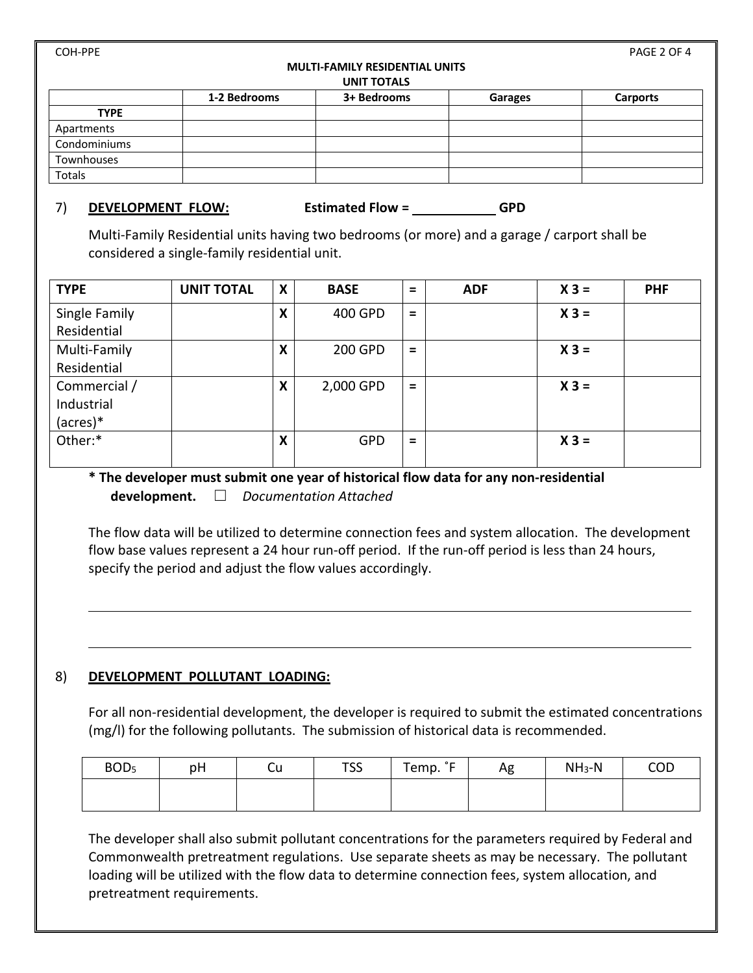#### **MULTI-FAMILY RESIDENTIAL UNITS**

| LINIT TOTALS |  |  |
|--------------|--|--|

|              | 1-2 Bedrooms | 3+ Bedrooms | Garages | <b>Carports</b> |
|--------------|--------------|-------------|---------|-----------------|
| <b>TYPE</b>  |              |             |         |                 |
| Apartments   |              |             |         |                 |
| Condominiums |              |             |         |                 |
| Townhouses   |              |             |         |                 |
| Totals       |              |             |         |                 |

# 7) **DEVELOPMENT FLOW: Estimated Flow = GPD**

Multi-Family Residential units having two bedrooms (or more) and a garage / carport shall be considered a single-family residential unit.

| <b>TYPE</b>   | <b>UNIT TOTAL</b> | X | <b>BASE</b> | =        | <b>ADF</b> | $X3 =$ | <b>PHF</b> |
|---------------|-------------------|---|-------------|----------|------------|--------|------------|
| Single Family |                   | X | 400 GPD     | $\equiv$ |            | $X3 =$ |            |
| Residential   |                   |   |             |          |            |        |            |
| Multi-Family  |                   | X | 200 GPD     | $\equiv$ |            | $X3 =$ |            |
| Residential   |                   |   |             |          |            |        |            |
| Commercial /  |                   | X | 2,000 GPD   | =        |            | $X3 =$ |            |
| Industrial    |                   |   |             |          |            |        |            |
| $(acres)*$    |                   |   |             |          |            |        |            |
| Other:*       |                   | X | <b>GPD</b>  | =        |            | $X3 =$ |            |
|               |                   |   |             |          |            |        |            |

**\* The developer must submit one year of historical flow data for any non-residential development.** ☐ *Documentation Attached*

The flow data will be utilized to determine connection fees and system allocation. The development flow base values represent a 24 hour run-off period. If the run-off period is less than 24 hours, specify the period and adjust the flow values accordingly.

### 8) **DEVELOPMENT POLLUTANT LOADING:**

For all non-residential development, the developer is required to submit the estimated concentrations (mg/l) for the following pollutants. The submission of historical data is recommended.

| BOD <sub>5</sub> | pH | ιu | $T_{C}$<br>. ၁၁ | $\circ$ $\sim$<br>Temp. | Ag | $NH3-N$ | COD |
|------------------|----|----|-----------------|-------------------------|----|---------|-----|
|                  |    |    |                 |                         |    |         |     |

The developer shall also submit pollutant concentrations for the parameters required by Federal and Commonwealth pretreatment regulations. Use separate sheets as may be necessary. The pollutant loading will be utilized with the flow data to determine connection fees, system allocation, and pretreatment requirements.

COH-PPE PAGE 2 OF 4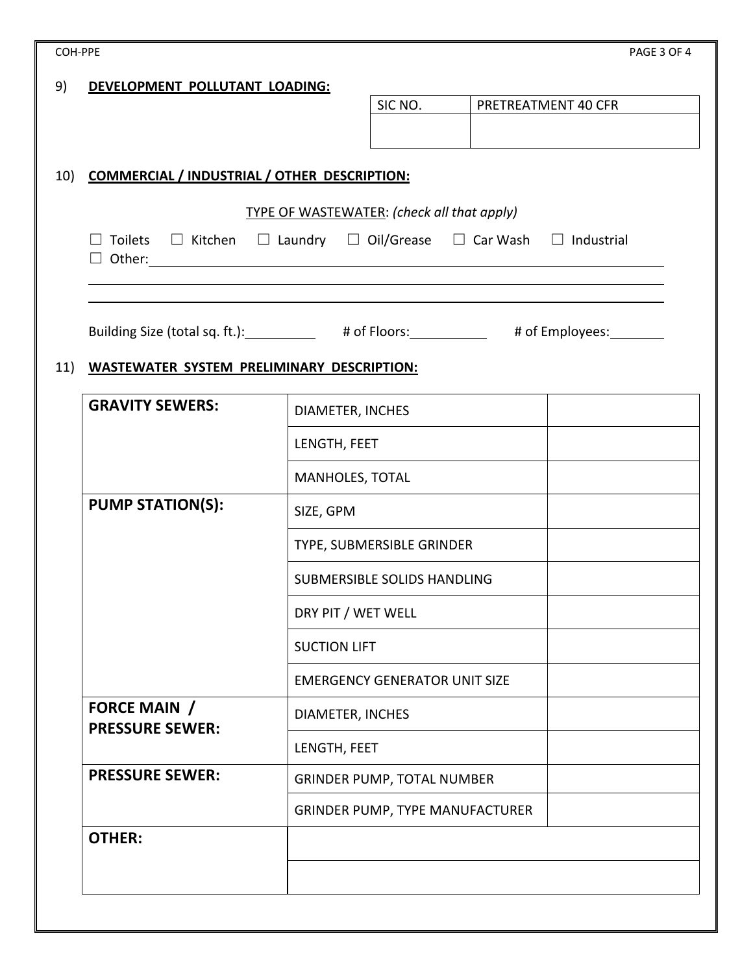|     | DEVELOPMENT POLLUTANT LOADING:                                             |                                                   |                                      |                                                                    |                     |  |
|-----|----------------------------------------------------------------------------|---------------------------------------------------|--------------------------------------|--------------------------------------------------------------------|---------------------|--|
|     |                                                                            |                                                   | SIC NO.                              |                                                                    | PRETREATMENT 40 CFR |  |
|     |                                                                            |                                                   |                                      |                                                                    |                     |  |
|     |                                                                            |                                                   |                                      |                                                                    |                     |  |
| 10) | <b>COMMERCIAL / INDUSTRIAL / OTHER DESCRIPTION:</b>                        |                                                   |                                      |                                                                    |                     |  |
|     |                                                                            | <b>TYPE OF WASTEWATER: (check all that apply)</b> |                                      |                                                                    |                     |  |
|     | $\Box$ Toilets $\Box$ Kitchen                                              |                                                   |                                      | $\Box$ Laundry $\Box$ Oil/Grease $\Box$ Car Wash $\Box$ Industrial |                     |  |
|     | Building Size (total sq. ft.): 4 of Floors: 4 by Floors: 4 of Employees: 1 |                                                   |                                      |                                                                    |                     |  |
| 11) | <b>WASTEWATER SYSTEM PRELIMINARY DESCRIPTION:</b>                          |                                                   |                                      |                                                                    |                     |  |
|     | <b>GRAVITY SEWERS:</b>                                                     | DIAMETER, INCHES                                  |                                      |                                                                    |                     |  |
|     |                                                                            | LENGTH, FEET                                      |                                      |                                                                    |                     |  |
|     |                                                                            | <b>MANHOLES, TOTAL</b>                            |                                      |                                                                    |                     |  |
|     | <b>PUMP STATION(S):</b>                                                    | SIZE, GPM                                         |                                      |                                                                    |                     |  |
|     |                                                                            | TYPE, SUBMERSIBLE GRINDER                         |                                      |                                                                    |                     |  |
|     |                                                                            | <b>SUBMERSIBLE SOLIDS HANDLING</b>                |                                      |                                                                    |                     |  |
|     |                                                                            | DRY PIT / WET WELL                                |                                      |                                                                    |                     |  |
|     |                                                                            | <b>SUCTION LIFT</b>                               |                                      |                                                                    |                     |  |
|     |                                                                            |                                                   | <b>EMERGENCY GENERATOR UNIT SIZE</b> |                                                                    |                     |  |
|     | <b>FORCE MAIN /</b><br><b>PRESSURE SEWER:</b>                              | DIAMETER, INCHES                                  |                                      |                                                                    |                     |  |
|     |                                                                            | LENGTH, FEET                                      |                                      |                                                                    |                     |  |
|     | <b>PRESSURE SEWER:</b>                                                     |                                                   | <b>GRINDER PUMP, TOTAL NUMBER</b>    |                                                                    |                     |  |
|     |                                                                            |                                                   |                                      | GRINDER PUMP, TYPE MANUFACTURER                                    |                     |  |
|     | <b>OTHER:</b>                                                              |                                                   |                                      |                                                                    |                     |  |